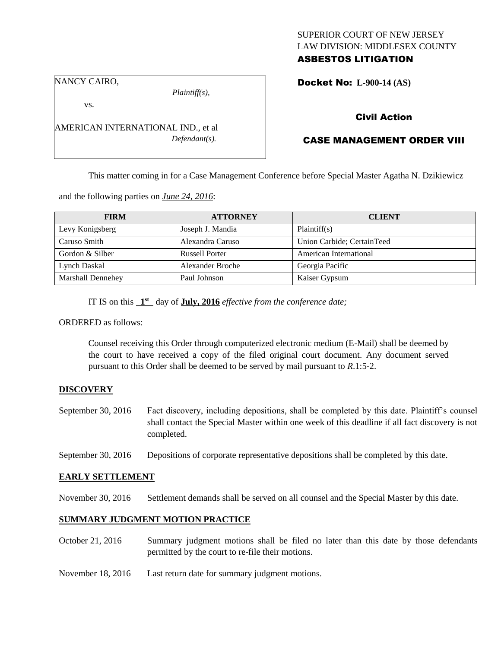## SUPERIOR COURT OF NEW JERSEY LAW DIVISION: MIDDLESEX COUNTY

# ASBESTOS LITIGATION

NANCY CAIRO,

*Plaintiff(s),*

Docket No: **L-900-14 (AS)** 

vs.

AMERICAN INTERNATIONAL IND., et al *Defendant(s).*

### Civil Action

# CASE MANAGEMENT ORDER VIII

This matter coming in for a Case Management Conference before Special Master Agatha N. Dzikiewicz

and the following parties on *June 24, 2016*:

| <b>FIRM</b>       | <b>ATTORNEY</b>       | <b>CLIENT</b>              |
|-------------------|-----------------------|----------------------------|
| Levy Konigsberg   | Joseph J. Mandia      | Plaintiff(s)               |
| Caruso Smith      | Alexandra Caruso      | Union Carbide; CertainTeed |
| Gordon & Silber   | <b>Russell Porter</b> | American International     |
| Lynch Daskal      | Alexander Broche      | Georgia Pacific            |
| Marshall Dennehey | Paul Johnson          | Kaiser Gypsum              |

IT IS on this  $1<sup>st</sup>$  day of **July, 2016** *effective from the conference date*;

ORDERED as follows:

Counsel receiving this Order through computerized electronic medium (E-Mail) shall be deemed by the court to have received a copy of the filed original court document. Any document served pursuant to this Order shall be deemed to be served by mail pursuant to *R*.1:5-2.

### **DISCOVERY**

September 30, 2016 Fact discovery, including depositions, shall be completed by this date. Plaintiff's counsel shall contact the Special Master within one week of this deadline if all fact discovery is not completed.

September 30, 2016 Depositions of corporate representative depositions shall be completed by this date.

#### **EARLY SETTLEMENT**

November 30, 2016 Settlement demands shall be served on all counsel and the Special Master by this date.

### **SUMMARY JUDGMENT MOTION PRACTICE**

- October 21, 2016 Summary judgment motions shall be filed no later than this date by those defendants permitted by the court to re-file their motions.
- November 18, 2016 Last return date for summary judgment motions.